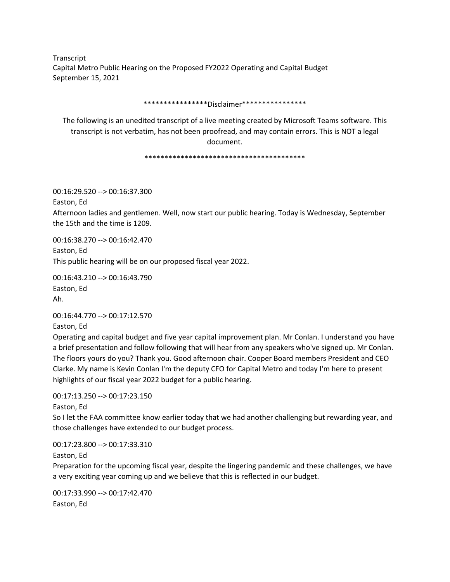Transcript Capital Metro Public Hearing on the Proposed FY2022 Operating and Capital Budget September 15, 2021

\*\*\*\*\*\*\*\*\*\*\*\*\*\*\*\*Disclaimer\*\*\*\*\*\*\*\*\*\*\*\*\*\*\*\*

The following is an unedited transcript of a live meeting created by Microsoft Teams software. This transcript is not verbatim, has not been proofread, and may contain errors. This is NOT a legal document.

\*\*\*\*\*\*\*\*\*\*\*\*\*\*\*\*\*\*\*\*\*\*\*\*\*\*\*\*\*\*\*\*\*\*\*\*\*\*\*\*

00:16:29.520 --> 00:16:37.300

Easton, Ed

Afternoon ladies and gentlemen. Well, now start our public hearing. Today is Wednesday, September the 15th and the time is 1209.

00:16:38.270 --> 00:16:42.470 Easton, Ed This public hearing will be on our proposed fiscal year 2022.

00:16:43.210 --> 00:16:43.790 Easton, Ed Ah.

00:16:44.770 --> 00:17:12.570

Easton, Ed

Operating and capital budget and five year capital improvement plan. Mr Conlan. I understand you have a brief presentation and follow following that will hear from any speakers who've signed up. Mr Conlan. The floors yours do you? Thank you. Good afternoon chair. Cooper Board members President and CEO Clarke. My name is Kevin Conlan I'm the deputy CFO for Capital Metro and today I'm here to present highlights of our fiscal year 2022 budget for a public hearing.

00:17:13.250 --> 00:17:23.150

Easton, Ed

So I let the FAA committee know earlier today that we had another challenging but rewarding year, and those challenges have extended to our budget process.

00:17:23.800 --> 00:17:33.310

Easton, Ed

Preparation for the upcoming fiscal year, despite the lingering pandemic and these challenges, we have a very exciting year coming up and we believe that this is reflected in our budget.

00:17:33.990 --> 00:17:42.470 Easton, Ed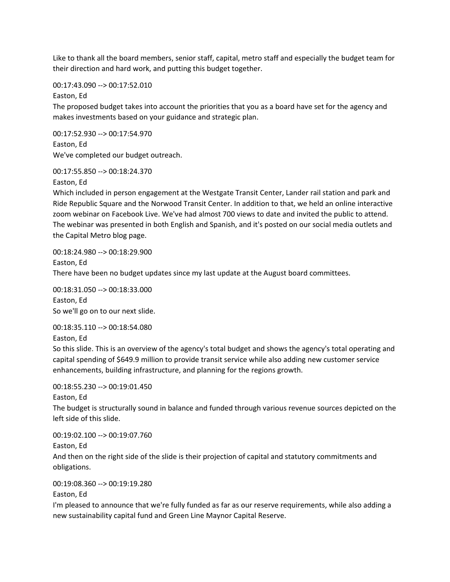Like to thank all the board members, senior staff, capital, metro staff and especially the budget team for their direction and hard work, and putting this budget together.

00:17:43.090 --> 00:17:52.010

Easton, Ed

The proposed budget takes into account the priorities that you as a board have set for the agency and makes investments based on your guidance and strategic plan.

00:17:52.930 --> 00:17:54.970 Easton, Ed We've completed our budget outreach.

00:17:55.850 --> 00:18:24.370

Easton, Ed

Which included in person engagement at the Westgate Transit Center, Lander rail station and park and Ride Republic Square and the Norwood Transit Center. In addition to that, we held an online interactive zoom webinar on Facebook Live. We've had almost 700 views to date and invited the public to attend. The webinar was presented in both English and Spanish, and it's posted on our social media outlets and the Capital Metro blog page.

00:18:24.980 --> 00:18:29.900 Easton, Ed There have been no budget updates since my last update at the August board committees.

00:18:31.050 --> 00:18:33.000 Easton, Ed So we'll go on to our next slide.

00:18:35.110 --> 00:18:54.080 Easton, Ed

So this slide. This is an overview of the agency's total budget and shows the agency's total operating and capital spending of \$649.9 million to provide transit service while also adding new customer service enhancements, building infrastructure, and planning for the regions growth.

## 00:18:55.230 --> 00:19:01.450

Easton, Ed

The budget is structurally sound in balance and funded through various revenue sources depicted on the left side of this slide.

00:19:02.100 --> 00:19:07.760

Easton, Ed

And then on the right side of the slide is their projection of capital and statutory commitments and obligations.

00:19:08.360 --> 00:19:19.280

Easton, Ed

I'm pleased to announce that we're fully funded as far as our reserve requirements, while also adding a new sustainability capital fund and Green Line Maynor Capital Reserve.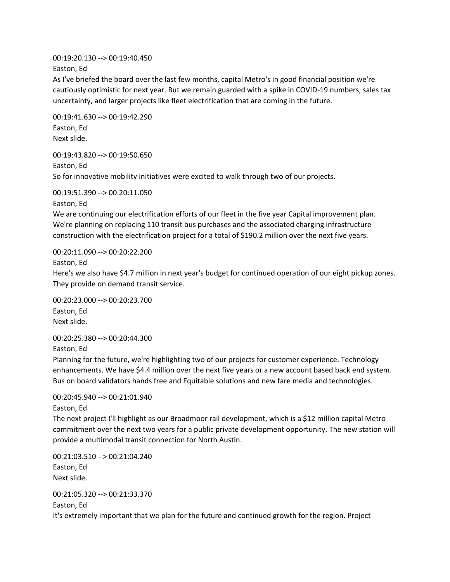00:19:20.130 --> 00:19:40.450

Easton, Ed

As I've briefed the board over the last few months, capital Metro's in good financial position we're cautiously optimistic for next year. But we remain guarded with a spike in COVID-19 numbers, sales tax uncertainty, and larger projects like fleet electrification that are coming in the future.

00:19:41.630 --> 00:19:42.290 Easton, Ed Next slide.

00:19:43.820 --> 00:19:50.650 Easton, Ed So for innovative mobility initiatives were excited to walk through two of our projects.

00:19:51.390 --> 00:20:11.050

Easton, Ed

We are continuing our electrification efforts of our fleet in the five year Capital improvement plan. We're planning on replacing 110 transit bus purchases and the associated charging infrastructure construction with the electrification project for a total of \$190.2 million over the next five years.

00:20:11.090 --> 00:20:22.200

Easton, Ed

Here's we also have \$4.7 million in next year's budget for continued operation of our eight pickup zones. They provide on demand transit service.

00:20:23.000 --> 00:20:23.700 Easton, Ed Next slide.

00:20:25.380 --> 00:20:44.300

Easton, Ed

Planning for the future, we're highlighting two of our projects for customer experience. Technology enhancements. We have \$4.4 million over the next five years or a new account based back end system. Bus on board validators hands free and Equitable solutions and new fare media and technologies.

00:20:45.940 --> 00:21:01.940

Easton, Ed

The next project I'll highlight as our Broadmoor rail development, which is a \$12 million capital Metro commitment over the next two years for a public private development opportunity. The new station will provide a multimodal transit connection for North Austin.

00:21:03.510 --> 00:21:04.240 Easton, Ed Next slide.

00:21:05.320 --> 00:21:33.370 Easton, Ed It's extremely important that we plan for the future and continued growth for the region. Project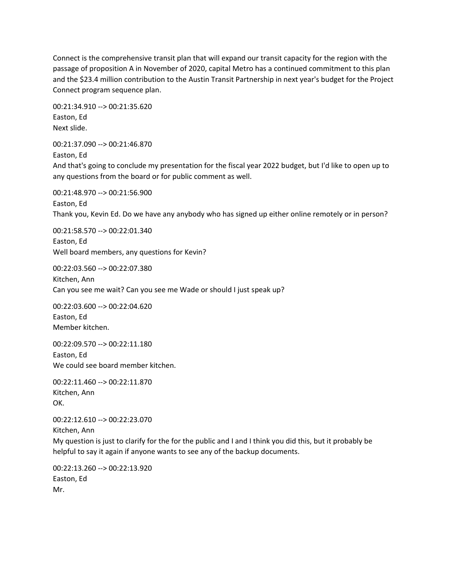Connect is the comprehensive transit plan that will expand our transit capacity for the region with the passage of proposition A in November of 2020, capital Metro has a continued commitment to this plan and the \$23.4 million contribution to the Austin Transit Partnership in next year's budget for the Project Connect program sequence plan.

00:21:34.910 --> 00:21:35.620 Easton, Ed Next slide.

00:21:37.090 --> 00:21:46.870

Easton, Ed

And that's going to conclude my presentation for the fiscal year 2022 budget, but I'd like to open up to any questions from the board or for public comment as well.

00:21:48.970 --> 00:21:56.900 Easton, Ed Thank you, Kevin Ed. Do we have any anybody who has signed up either online remotely or in person?

00:21:58.570 --> 00:22:01.340 Easton, Ed Well board members, any questions for Kevin?

00:22:03.560 --> 00:22:07.380 Kitchen, Ann Can you see me wait? Can you see me Wade or should I just speak up?

00:22:03.600 --> 00:22:04.620 Easton, Ed Member kitchen.

00:22:09.570 --> 00:22:11.180 Easton, Ed We could see board member kitchen.

00:22:11.460 --> 00:22:11.870 Kitchen, Ann OK.

00:22:12.610 --> 00:22:23.070 Kitchen, Ann My question is just to clarify for the for the public and I and I think you did this, but it probably be helpful to say it again if anyone wants to see any of the backup documents.

00:22:13.260 --> 00:22:13.920 Easton, Ed Mr.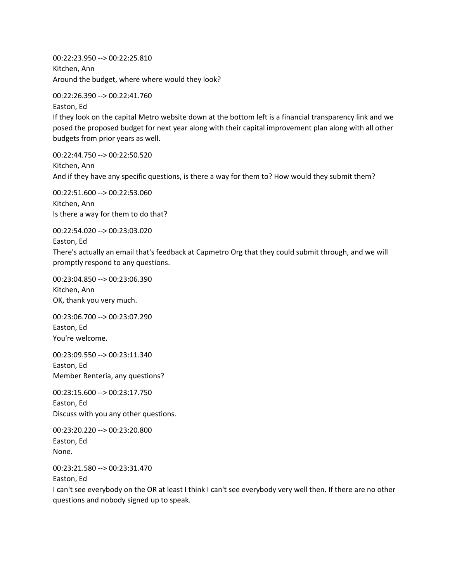00:22:23.950 --> 00:22:25.810 Kitchen, Ann Around the budget, where where would they look?

00:22:26.390 --> 00:22:41.760

Easton, Ed If they look on the capital Metro website down at the bottom left is a financial transparency link and we posed the proposed budget for next year along with their capital improvement plan along with all other budgets from prior years as well.

00:22:44.750 --> 00:22:50.520 Kitchen, Ann And if they have any specific questions, is there a way for them to? How would they submit them?

00:22:51.600 --> 00:22:53.060 Kitchen, Ann Is there a way for them to do that?

00:22:54.020 --> 00:23:03.020

Easton, Ed

There's actually an email that's feedback at Capmetro Org that they could submit through, and we will promptly respond to any questions.

00:23:04.850 --> 00:23:06.390 Kitchen, Ann OK, thank you very much.

00:23:06.700 --> 00:23:07.290 Easton, Ed You're welcome.

00:23:09.550 --> 00:23:11.340 Easton, Ed Member Renteria, any questions?

00:23:15.600 --> 00:23:17.750 Easton, Ed Discuss with you any other questions.

00:23:20.220 --> 00:23:20.800 Easton, Ed None.

00:23:21.580 --> 00:23:31.470

Easton, Ed

I can't see everybody on the OR at least I think I can't see everybody very well then. If there are no other questions and nobody signed up to speak.